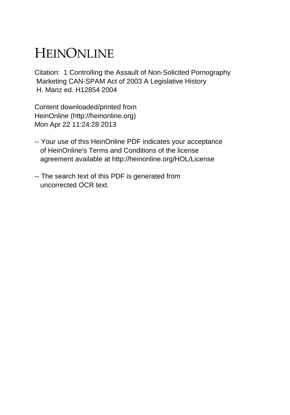# HEINONLINE

Citation: 1 Controlling the Assault of Non-Solicited Pornography Marketing CAN-SPAM Act of 2003 A Legislative History H. Manz ed. H12854 2004

Content downloaded/printed from HeinOnline (http://heinonline.org) Mon Apr 22 11:24:28 2013

- -- Your use of this HeinOnline PDF indicates your acceptance of HeinOnline's Terms and Conditions of the license agreement available at http://heinonline.org/HOL/License
- -- The search text of this PDF is generated from uncorrected OCR text.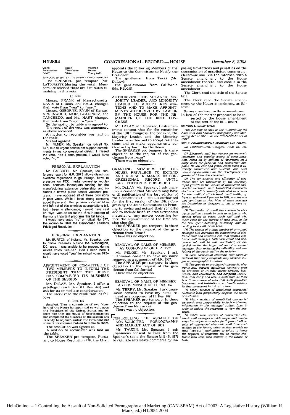**ANNOUNCEMENT** BY **Tlil** SP1EAKER *PRO* TEMPORE The SPEAKER pro tempore (Mr.<br>LATOURETTE)(during the vote). Members are advised there are 2 minutes **re**maining in this vote.

### **0** 1704

Messrs. FRANK of Massachusetts, DAVIS of Illinois, and HALL changed

their vote from "yea" to "nay." Messrs. OSBORNE, RYUN of Kansas, GREENWOOD, AKIN, BEAUPREZ, and TANCREDO, and Ms. HART changed their vote from "nay" to "yea." So the motion to table was agreed to. The result of the vote was announced

as above recorded.

A motion to reconsider was laid on the table.

Stated against: Mr. **FILNER.** Mr. Speaker, on rolicalt No. **677,** due to urgent constituent support commitments in my congressional district, I missed the vote. Had I been present, I would have voted "no."

## PERSONAL EXPLANATION

Mr. PASCRELL. Mr. Speaker, the con-ference report for H.R. 2673 allows disastrous overtime regulations to go through, bows to pressure on FCC media ownership regulations, contains inadequate funding for the manufacturing extension partnership, and includes a flawed public school vouchers pro-<br>gram. I have opposed all of these provisions<br>in past votes. While I have strong concerns about these and other provisions contained in and left out of this omnibus appropriations bill, had I been in attendance, I would have cast an "aye" vote on rollcall No 676 in support of the many important programs this bill funds. I would have voted "no" on rolicall No. 677, the motion to table the Democratic Leader's Privileged Resolution.

## PERSONAL EXPLANATION

Mr. BURTON of Indiana. Mr. Speaker, due to official business outside the Washington, **DC,** area, I was unable to be present during rollcall votes 673-677. Had I been here I would have voted "yea" for rollcall votes 673- 677.

APPOINTMENT OF COMMITTEE OF TWO MEMBERS TO INFORM THE PRESIDENT THAT THE HOUSE HAS COMPLETED ITS BUSINESS **OF** THE SESSION

*Mr.* DELAY. Mr. Speaker, I offer a privileged resolution (H. Res. 476) and ask for its immediate consideration. The Clerk read the resolution, as follows:

### H. RES, 476

*Resolved.* That a committee *of* two Mem-Amonton, that a committed to with upon<br>the President of the United States and in-<br>form him that the House of Representatives<br>has completed its business of the session and<br>is ready to adjourn, unless the President has some other communication to make to them.

The resolution was agreed to. A motion to reconsider was laid on

the table. The SPEAKER pro tempore. Pursu-ant to House Resolution 476, the Chair

(Ms. PELOSI).

AUTHORIZING THE SPEAKER, MA- bill.<br>
JORITY LEADER, AND MINORITY The Clerk read the Senate amend-<br>
LEADER TO ACCEPT RESIGNA- ment to the House amendment, as fol-<br>
TIONS AND TO MAKE APPOINT- lows:<br>
MENTS AUTHORIZED BY LAW OR BY THE HOUSE FOR THE RE- In lieu of the matter proposed to be in-MAINDER OF THE **108TH** CON- serted by the House amendment BY THE HOUSE FOR THE RE- In lieu of the matter proposed to b<br>MAINDER OF THE 108TH CON-<br>GRESS<br>CRESS to the text of the bill, insert:<br>GRESS<br>Mr. DELAY Mr. Sneaker Lask unan-<br>SECTION 1. SHORT TITLE.

Mr. DELAY. Mr. Speaker, I ask unan-<br>imous consent that for the remainder<br>of the 108th Congress, the Speaker, the imous consent that for the remainder This Act may be cited as the ''Controlling the<br>of the 108th Congress, the Speaker, the Assault of Non-Solicited Pornography and Mar-<br>Majority Leader, and the Minority *keting Act of 200* Leader be authority *seting Act of 2003*", or the "CAN-SPAM Act of Michael Leader be authorized to accept resigna-<br>Leader be authorized to accept resigna-<br>tions and the make appointments au and the accept of the state of t

GRANTING MEMBERS OF THE HOUSE PRIVILEGE TO EXTEND AND REVISE REMARKS IN CON- GRESSIONAL RECORD UNTIL LAST EDITION IS PUBLISHED

the CONGRESSIONAL RECORD authorized from an estimated 7 percent in 2001, and the voltage of the CONGRESSION of the 108th Container of the containers of the containers of the containers of the containers of the containers o gress by the Joint Committee on Print-<br>
ing to regradulent or deceptive in one or more re-<br>
ing to revise and external delic remarks<br>  $\frac{3}{2}$ . The receipt of unsolicited commercial elec-<br>
matterial on any matter occurri

For the SPEAKER pro tempore. Is there<br>The SPEAKER pro tempore. Is there<br>objection to the request of the gen-<br>tleman from Texas? objection to the request of the gen- (4) The receipt of a large number of unwanted<br>tleman from Texas? messages also decreases the convenience of elec-

Ms. PELOSI. Mr. Speaker. I ask fulness of electronic mail to the recipient.<br>nanimous consent to have my name (5) Some commercial electronic mail contains

removed as a cosponsor of H.K. 3007.<br>The SPEAKER pro tempore. Is there gave propagaphic in patterns are<br>objection to the request of the gen-<br>objection to the request of the gen-<br>triangular propositional and commercial elec

Mr. TERRY. **Mr.** Speaker, **I** ask unan- **(7)** Many senders of unsolicited *commercial*

moved as a cosponsor of H. Res. 462. ofsuch *niail.* The **SPEAKER** pro tempore. Is there **(8)** Many senders **of** *unsolicited* commercial

## CONTROLLING THE ASSAULT OF tronic wail wesages provide simple and *reliable* NON-SOLICITED PORNOGRAPHY ways **for** recipients to *reject* (or "opt-out" *of* **re-**

Speaker's table the Senate bill (S. 877) *ironic mail flom such a such a creative telesconsent* to take from the *the requests of recipients not to receive telesconsent* to the Senate bill (S. 877) *tronic mail from such s* to regulate interstate commerce by im-

appoints the following Members of the posing limitations and penalties on the<br>House to the Committee to Notify the transmission of unsolicited commercial House to the Committee to Notify the transmission of unsolicited commercial President:<br>
President, electronic mail via the Internet, with a<br>
The gentleman from Texas (Mr. Senate amendment to the House<br>
DELAY);<br>
amendment t Ethe gentlewoman from California Senate amendment to the House<br>Ms. PELOSI). amendment to the House

The Clerk read the title of the Senate<br>bill.

tions and to make appointments au-<br>thorized by law or by the House.<br>The SPEAKER pro tempore. Is there lowing: The Congress finds the fol-<br>The SPEAKER pro tempore. Is there lowing:

objection to the request of the gen-<br>
(i) Electronic mail has become an extremely<br>
There was no objection.<br>
There was no objection.<br>
There was no objection.<br>
There was no objection.<br>
The pass is low cost and global reach m

GRESSIONAL RECORD UNTIL (2) The convenience and efficiency of elec-<br>LAST EDITION IS PUBLISHED translate threatened by the extremely<br>Mr. DELAY. Mr. Speaker, 1 ask unan-<br>mapid growth in the volume of unsolicited com-<br>imous until the volume of underland of the last edition of the *over that Mr.* DELAY. Mr. Speaker, I ask unan-<br> *over the last electronic mail is currently estimated to accountil* until publication of the Iast edition of *Go o* 

fore the adjournment of the first ses-<br>incur costs for the storage of such mail, or form the storage of such mail, or for<br>sion sine die.

There was no objection. **cronic mail and creates a risk that wanted elec-**<br>tronic mail messages, both commercial and non-**REMOVAL OF NAME OF MEMBER** *commercial, will be lost, overlooked, or dis- carded amidst the larger volume of unwanted* REMOVAL OF NAME OF MEMBER<br>
AS COSPONSOR OF H.R. 3507 messages, thus reducing the reliability and use-<br>
AS COSPONSOR OF H.R. 3507 messages, thus reducing the reliability and use-<br>
Ms. PELOSI. Mr. Speaker. I ask *luiness of* 

unanimous consent to have my name (5) Some commercial electronic mail contains<br>unanimous consent to have my name *material that many recipients may consider vul*removed as a cosponsor of H.R. **3507.** material *that* many recipients may consider vl-The SPEAKER pro tempore. Is there *gar* apornographic *in nature.*

*on providers of Internet access services, busi-*<br> *nesses, and educational and nonprofit institu-*<br> *ions that carry and receive such mall, as there* REMOVAL OF NAME OF MEMBER Bank contract of mail that such providers.<br>AS COSPONSOR OF H. Res. 462 businesses, and institutions can handle without<br>AS COSPONSOR OF H. Res. 462 businesses, and instructure.

increase electronic mall purposefully disguise the source<br>of such mail.

chief the request of the gen-<br>electronic mail purposefully include misleading the messages' subject lines in<br>There was no objection.<br>There was no objection.<br>There was no objection.

**(9)** While *some senders* of commercial **elec-**AND MARKET ACT OF 2003 senders in the future, other senders provide no<br>Mr. TAUZIN. Mr. Speaker, I ask such "get-out" mechanism, or refuse to honor<br>unanimous consent to take from the the requiests of regulation or refuse t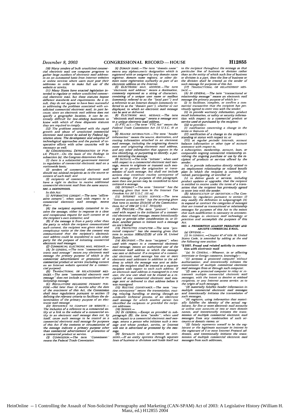*(10)* Many senders of bulk unsolicited *cammer-* (4) DOMAIN NAME.-The term *domain name"* cial electronic mail use computer programs to means any alphanumeric designation which is<br>gather large numbers of electronic mail address- registered with or assigned by any domain name<br>es on an automated basis from Intern (*us) many servies of our authority countereformalistical electronic mail use computer programs to means any alphanumeric designation which is gather large numbers of electronic mail address-registered with or assigned by* addresses in order to make full use of the website or service.

tended to regulate *or* reduce unsolicited *conuner-* commonly expressed as a string of characters, *cum main statute in reduce unsolicited commercial electronic mail, but these statutes impose different standards and requirements. As a re*differeni *standards and requirements.* As a *re- (conimonly referred* to as the *"local* part *")* and sult, they do not appear to have been successful – a reference to an Internet domain (commonly re-<br>in addressing the problems associated with un- – ferred to as the ''domain part''), whether or not cause, since an electronic mail address does not specify a geographic location, *It* can be *e-* **(6)** *ELECTRONIC* MAIL MESSAGE.-The term know with which **of** these *disparate* statutes to *a* unique electronic mail address.

(7) FTC ACT,—The term "FTC Act" means the<br>
they are required to comply.<br>
(12) The problems associated with the rapid Federal Trade Commission Act (15 U.S.C. 41 et<br>
growth and abuse of unsolicited commercial seq.).<br>
electro technological approaches and the pursuit *of co- routing* hiformation attached *to* an *electmnic* operative efforts with *other* countries will **be** mail message, including the originating domain

necessary as well.<br> **(b)** CONCRESSIONAL DETERMINATION OF PUB-<br>
LIC POLICY,—On the basis of the findings in subsection (a), the Congress determines that- son Initiating the message.

*in* regulatioti of *cotmercial* electronic mail on a with respect to a commercial electronic *mail es-*

*should not mislead recipients as to the source or content of such mail; and* 

have a right to decline to receive additional more than one person may be considered<br>commercial electronic mail from the same source.<br>SEC. 3. DEFINITIONS.<br>SEC. 3. DEFINITIONS.<br>SEC. 3. DEFINITIONS.

*In this Act:*<br>(1) AFFIRMATIVE CONSENT.—The term "affirm-(1) AFFIRMATIVE CONSENT.—The term "affirm- $(11)$  INTERNET ACCESS SERVICE.—The term<br>atlve consent", when used with respect to a "internet access service: "has the meaning given<br>commercial electronic mail message, means tha that **the consent**", when used with respect to a<br>commercial electronic mail message, means<br>that—<br> $\frac{dA}{dt}$  (A) the recipient expressly consented to re-

**(A)** *the* recipient expressly consented to *re-* (12) *PROCURE -The* tert 'procure", when *ceve* the omessage. *either hi* response to a clear used with respect to the initiation of a conneredive the message, either in response to a clear<br>and conspicuous request for such consent or at

(B) if the message is from a party other than  $\frac{dy}{dx}$  and pivous outer consideration to, on the party to which the receiption to only be the party to which the receiption of the party of the party of the party of the su conspicuous notice at the time the consent was<br>conspicuous notice at the time the consent was<br>communicated that the recipient's electronic term in section 1030(e)/2)/B) of title 18. United *conspicuous note at the encipient's electronic term in sected compunicated that the necipient's electronic term in sected code.<br>
mail address could be transferred to such other States Code.<br>
party for the purpose of initi* 

message 'does *not* include a transactional **or to-** *cipient* of any *commercial* electronic mail mes-*latlanship* message. sage sent *or* delivered to that address before it

**(C) REGULATIONS REGARDING PRIMARY PUR-**<br>(C) REGULATIONS REGARDING PRIMARY PUR-<br>POSE.—Not later than 12 months after the date *POSE.-NOTIONS REGARDING PRIMARY PUR- was reassigned.*<br>POSE.--Not later than 12 months after the date (15) *ROUTINE CONVEYANCE.-The term "rou-*<br>of the enactment of this Act, the Commission - tips conveyance'' mages the tra of the enactment of this Act, the Commission tine conveyance" means the transmission, rout-<br>shall issue regulations pursuant to section 13 ine relaxing bandling or storing through an *defining* the relevant criteria to facilitate the de- automatic technical press, of an electronic termnation of *the* primary puipose of an elec- *atoll* message *for* which anther person *has*

rne measured at receiver to a commercial en- (A) IN CENERAL.—Except as provided in sub-<br>tity or a link to the website of a commercial en- (A) IN CENERAL.—Except as provided in sub-<br>tity in an electronic mail message does n itself. cause *such* message to be treated as a with respect to a commercial electronic mail **mes-**commercial electronic mall message for purposes sage, means a person who initiates such a **mes**of this Act if the contents *or* clrcumstances of sage and whose product, service, **or** Internet the message indicate a primary purpose other web site is advertised **or** *promoted* by the men or ans Act if the coments of chambiantes of<br>the message indicate a primary purpose other<br>than commercial advertisement or promotion of

*website* **or** service. **(5)** ELECTRONtC *MAnl.* ADDRESS.-The *term (II)* Many States **have** enacted legislation in- *"clectronic mall* address" means a destination, *s securities solicity of the animality of displayed, to which an electronic mail message can be sent or delivered.*<br>*can be sent or delivered.*<br>*(6) ELECTRONIC MAIL. MESSAGE.—The term* 

*tremely the control mail message 'means a message sent*<br>*to a unique electronic mail address*.<br>*(7) FTC Act: --The term 'FTC Act' means the*<br>*Federal Trade Commission Act (15 U.S.C. 41 et* 

islation alone. The development and adoption of inforation *" mwans* tte *source,* destination, and (b) CONCRESSIONAL DETERMINATION OF PUB. and any other information that appears in the<br>LIC POLICY.—On the basis of the findings in line identifying, or purporting to identify, a per-

*()* there is a substantial government *ineerest* (9) *INTriAre.-The* eerm "initiate *,* when used nationwide basis; sage, means to *originate or transmit* such mes sage, mann to anginate or community series sage or *to procure the origination or transmission of such message, but shall not include* shown in massive in the product of the series of actions that constitute routine conveyance of<br>(3) recipients of commercial electronic mail such message. For purposes of this paragraph,<br>have a right to decline to receive a

and conspicuous request for such consent or at *cial electronic mail message, means intentionally*<br>the recipient's own initiative: and **the recipient's** to pay or provide other consideration to, or in-

party for the purpose of *initiating* comoercial (14) RECIPIENT.-The term *"recipient* **',** when electronic mail messages. used with respect *to* a commercial electronic (2) COMMERCIAL **ELECTRONI** MAIL *MESSAGE.* - mall message, means an *authurized* user of the (2) COMMERCIAL ELECTRONIC MAIL MESSACE.— mail message, means an authorized user of the *message* incommercial elec- electronic mail address to which the message onic onic commercial elec-<br>  $\alpha$  in CENERAL.—The term  $\alpha$ omm  $(1)$  and the example the contract of a commercial product of a connection of a connection of a connection of a connection of a connection of a connection of a connection of a connection of a connection of a connection of on an Internet website operated for a commer-<br>cial purpose). excellent with respect to each surface in the real purpose).<br>(B) TRANSACTIONAL OR RELATIONSHIP MES- an electronic mail address is reassigned to a new *SAGES.*<br>-SAGES. The *term -commercial electronic mail address is reassigned to a new user shall purposel.*<br>-SAGES. The term 'commercial electronic mail and these shall not be treated as a re-<br>- shall not be treated as a r

tronic mail message. "Interview on the comparable recipients or provided the recipi-<br>(D) REFERENCE TO COMPANY OR WEBSITE.— on addresses.<br>The inclusion of a reference to a commercial en- (i) SENDER.—

than commercial advertisement or promotion of sage.<br>a commercial product or service.<br>(B) COMMISSION.—The term "Commission" *SIONS.—If an entity operates through separate*. (3) CoMMiSSiN.-The term *"Commission SONS.-If* an entity operates through separate *means* the Federal Trade Commission. *lines* of business or divisions and holds *Itself* **out**

to the *rclipleni* throughout the *message* as that particular line of business or division *rather* than as the entity of which such line *of* business or division is a part, then the line of business **or** the division shall be treated as the sender of

such message for purposes of this Act. *(if)* **TRIANSACTIONAL** OR RELATIONSHIP **MES-SAGE.-** (A) IN **CENERAL.-The** term "transactional or

relationship *message''* means an *electronic ftll* message the primary purpose of which **is-** *(i)* **to** *facilitate, complete,* or confirt a con,

mercial *transaction* that *the* recipient has pm-

*vlously* agreed to enter *into* with the sender; (it) to provide warranty information. product *recall* information, *or safety* **or** security informa*tion* with respect to a commercial product or

*service* used **or** purchased **by** the recipient *(ill)* to provide- *(I)* notification concerning a change in the terms or features **of,**

*(I)* notification of a change in the recipient's

standing or *status* with *respect* to; **or (111)** at regular periodic intervals, accout balance *hiformatiot* or other type of account

statement with *respect* to, a subscription, membership, account, loan, or comparable ongoing commercial relationship in-<br>volving the ongoing purchase or use by the revolving the ongoing purchase or use **by** the re-cipient **of** products *services offered* **by** the sendtr;

*(iv)* to provide information directly related to *an* employment relationship **or** related benefit plan in which the recipient is currently in-

volved, participating, **or** enrolled: or **(v) to** deliver goods or services including *product* updates *or* upgrades, that the recipient is entitled **to** retcive under the terms of a transaction that the *recipient* has previously agreed

to enter into with the sender. (B) **MODIFICATION OF DEFINITION.-The Coi**mission by regulation pursuant to section 13<br>may modify the definition in subparagraph (A)<br>to expand or contract the categories of messages<br>that are treated as transactional or relationship messages for purposes of this Act to the extent<br>that such modification is necessary to accommo-<br>date changes in electronic *mail technology or*<br>practices and accomplish the purposes of this  $\sim$ 

*SEC.* **4. PROHIBITION** *AGAINST PREDATORY AND* **ABUSIVE** COMMERCIAL **E-MAIL.** (a) **OFFENSE-**

*(I)* **IN GENERAL.** -Chapter 47 of title **18,** United *States* Code, is amended **by** adding at the end the *following* new section:

**"§1037. Fraud** and related activity in *conneetion* with **eleetranie mail**

*"'(a)* IN **CENERAL.** -Whoever, in *or* affecting

interstate or foreign commerce, knowingly--<br>
"(1) accesses a protected computer without<br>authorization, and intentionally initiates the<br>transmission of multiple commercial electronic mail messages *from or* through *such* computer

'(2) *uses a* protected **computer** to *relay or* **it** *transmit multiple* commercial electronic mall tessages, with *the* ient **to** decice or *mislead recipietts, or* any Internet *access* nerice, *as to* the origin of such messages,

*'(3)* materially falsifies header information in multiple commercial electronic mail messages *and imentionally* initiates the *Uansissim* of *such messages,*

*"(4) registers,* using intformation that matrlry ragsics, sang insurancian cuculative definition online accurate interesting in the accuration of the accuration of the accuration of the accuration of the accuration of the accuration analysis and interactionally initia musics are multiple commercial electronic mail<br>mission of multiple commercial electronic mail<br>counts or domain names, or<br> $\frac{(5)}{6}$  habely represents oneself to be the reg-<br>istrant or the legitimate successor in interest t

dresses, and *Intentionally Initiates* the *trons-*mission **of** multiple commercial electronic mail messages *from* such addresses,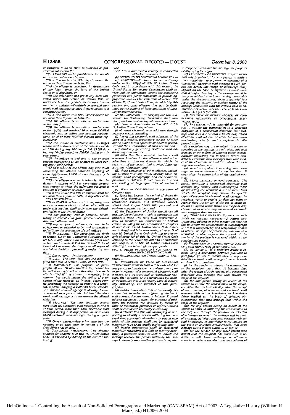**or** conspires *to* do **so.** shall be punished as pro- *vided i. subsection* **(b).** *'(b) PENALTIES.-The punishment for an of-*

*fense under subsection (a) is- "(1) a line snder this title, imprisonment for natore than 5ycars, or both, if-*

*(A) the offense is committed in furtherance of any felony under the laws of the United States or of any State. or '(B) the defendant has previously been con-*

*victed under this section or section 1030, or under the law of any State for conduct involv-ing the transmission of multiple commercial electronic matl messages or unauthorized access to <sup>a</sup> computer system. "(2) a fine under this title, imprisonment for*

*not more than 3 years, or both, if—*<br>''(A) the *offense is an offense under sub-*

*section (a)()' \* (B) tie offense is an offteo under sub- section (a)(4) and involved 20 or more falsified electronic mail or online user account cegistrations, or 10 or more falsified domain name reg-*<br>*istrations*;

*istrations; "(C) the volume of electronic mail messages transmitted in furtherance of the offense exce ed 2 00 during any 24-hour period. 25,000 dur- ing any 30-day period, or 250.000 during any I-*

*year period "'(D) the offense caused loss to one or more pecso aggregating \$5,000 or more in value dour-*

*ig any 1-year period, '(E) as a result of the offense any individual* committing the offense obtained anything of<br>value aggregating \$5,000 or more during any 1-<br>year period, or<br>(fr) the offense was undertaken by the de-

*feidant in concert with 3 or more other persons with respect to whom the defendant occupied a position of organizer or leader, and '(3) a fine under this title or hoprisonment for*

*not more than I year, or both, in any other case. '(c) FORFEITURE- "(1) IN CENERAL.-The court, in biposing sen-*

*tence on a person who is convicted ofan offense under this section shall order that the defend-ant forfeit to the United States-*

 $(1)$  any property, real or personal, constituting or traccable to gross proceeds obtained<br>from such offense; and<br> $(2B)$  any equipment, software, or other tech-<br> $(1B)$  any equipment, software, or other tech-<br>nology used o

*to facilitate the comiission of such offense.*

"(2) PROCEDURES.--The procedures set forth<br>In section 413 of the Controlled Substances Act<br>(21 U.S.C. 853), other than subsection (d) of that<br>section, and in Rule 32.2 of the Federal Rules of *Criminal Procedure, shall apply to ail stages of a criminal forfeiture proceeding under this sec- tion.*

"(d) DEFINITIONS —In this section:<br>"(1) LOSS. —The term 'loss' has the meaning<br>given that term in section 1030(c) of this title.<br>"(2) MATERIALLY. —For purposes of para-<br>graphs (3) and (4) of subsection (a), header in-<br>for manner that would impair the ability of a re-<br>cipient of the message, an Internet access service<br>ice processing the message on behalf of a recipient<br>ent, a person alleging a violation of this section, *or a law enforcement agency to identify, locate, or respond to a person who Initiated the elec-Fronit mall message or to investigate the alleged*

*violation.*<br>"(3) Mu Tipi F --The term 'multiole' means *"'(3) MULTIPLE,-The term otuitiple' means mere than 100 electronic mail messages during a 24-hour period, more than 1,000 electronic mail messages during a 30-day period, or more tIan 10,000 electronic mall messages during a 1-year period.*

(*i*) OTHER TERMS.—Any other term has the<br>meaning given that term by section 3 of the<br>CAN-SPAM Act of 2003."<br>(2) CONFORMING AMENDMENT.—The chapter<br>analysis for chapter 47 of title 18, United States

*Code, is amended by adding at the end the following:*

*'Set. "1037. Fraud and related activity in connection*

*with tlectroiic iiiai" (b) UNITED STATES SENTENCING COMMISSION.- (I) DIRECTIVE. -Pursuant to Its authority under section 994(p) of title 20, United States Code, and in accordance with this section. the United States Sentencing Commission shall r-view and, as appropriate, amtend the sentencing guidelines and policy statements to provide ap propriate penalties fo Violations uf section 1037 of title 18, United States Code, as added by this section, and other offenses that may be facilitated by the sending of large quantities of unso-icted electronic mail. (2) REQUIREMENTS. -In carrying out tiuis sub-*

section, the Sentencing Commission shall con-<br>sider providing sentencing enhancements for-<br>(A) those convicted under section 1037 of title<br>18, United States Code, who-<br>(1) obtained electronic mail addresses through

improper means, including—<br>(i) harvesting electronic mail addresses of the<br>users of a website, proprietary service, or other<br>online public forum operated by another person,

*without the authorization of such person; and (11) randomly generating electronic mail ad dresses by computer; or (if) knew that the commercial electronic -a11*

*messages involced in tie offense contained or* advertised an Internet domain for which the<br>registrant of the domain had provided false reg-

*istration information; and (B) these convicted of other offenses, inclid*ing offenses involving fraud, identity theft, ob-<br>scenity, child pornography, and the sexual ex-<br>ploitation of children, if such offenses involved<br>the sending of large quantities of electronic *mail.*

*(c) SENSE OF CONCRESS.-It IS the sense of Congress that (1) Spats has become the method of choice tor*

*those who distribute pornography, perpetrate fraudulent schemes, and introduce Viruses, worms, and Trojan horses Into personal and*

business computer systems; and<br>(2) the Department of Justice should use all<br>existing law enforcement tools to investigate and<br>prosecute those who send bulk commercial e*mail to facilitate tie commission of Federal crimes, including the tools contained in chapters 47 and 63 of title 10 United States Code (relat ing to fraud and false statements) chapter 71 of title 10, United States Code (ielating to obscen-ity): chapter 110 of title 18, United States Code (relating to the sexual exploitation of children) and chapter 95 of title 18, United States Code (relating to racketeering), as appropriate.*

*SEC. 5.* **OTHER** *PROTECTIONS* **FOR USERS OF** *COMMERCIAL ELECTRONIC MAIL. (a) REQUIREMENTS FOR TRANSMsISSiON OF MEs-*

**SAGES.-** *(1)* PROHIBITION *OF* **FALS** OR *MISLEADING TRANSMISSION INFORMATION.-It is unlawful for*

*any person to initiate the transmission, to a protected computer, of a commercial electronic mall aiessage, or a transactional or relationship mes*sage, that contains, or is accompanied by, head-<br>er information that is materially false or materi-<br>ally misleading. For purposes of this para*graph-*

*(A) header information that is technically ac,* curate but includes an originating electronic<br>mail address domain name, or Internet Protocol<br>address the access to which for purposes of initi-<br>ating the message was obtained by means of<br>false or fraudulent pretenses or re

*shall be considered materially misleading. (B) a "from" line (the line identifying or purporting to identify a person initiating the mes-sage) that accurately idendfies any person who Initiated the message shall not be considered*

*materially fale or materially misleading: and (C) header information shall be considered materially misleading if it fais to identify accurately a protected computer used to initiate the message because the persoi initiating the men sage knowingly uses aiothei protected computer*

HeinOnline -- 1 Controlling the Assault of Non-Solicited Pornography and Marketing (CAN-SPAM) Act of 2003: A Legislative History (William H. Manz, ed.) H12856 2004

*to relay or retrnsmit tie message for purposes of disguising its origin, (2) PROHIBITION OF DECEPTIVE SUBJECT HEAD-*

*INCS.-11 is unlawful for any person to initiate the tiatinsmsson to a protected computer of <sup>a</sup> comoiercial electronic mal message if such per*son has actual knowledge, or knowledge fairly<br>implied an the basis of objective circumstances,<br>that a subject heading of the message would be<br>likely to mislead a recipient, acting reasonably<br>under the circumstances, about *message (consistent with the criteria used in enforcement of section 5 of the Federal Trade Com-mission Act (15 U.S.C. 45)). (3) INCLUSION OF RETURN ADDRESS OR COM-*

*PARABLE MECHANISM IN COMMERCIAL ELEC-*

*TRONIC MAiL.- (A) fN GENERAL. -It is unlawful for any person to initiate the transmission to a piutected* computer of a commercial electronic mail mes*sage that does not conitahi a functioning return elecronic mail address or other Internet-based* mechanism, clearly and conspicuously dis*played, that-*

 $\,$  (i) a recipient may use to submit, in a manner specified in the message, a reply electronic mail message or other form of Internet-based commu-*Ieation requesting not to receive future com-mercial electronic mail messages from that send-er at the electronic mail address where he mes-*

*sage was received; and (H) remains capable of receivitng such mes-sages or communications for no less thain 30 days after the eiansmission of the original message. (B) MORE DETAILED OPTIONS POSSIBLE.-The*

person initiating a commercial electronic mail<br>message may comply with subparagraph (A)(i)<br>by providing the recipient a list or menu from<br>which the recipient may choose the specific<br>types of commercial electronic mail mess recipient wants to receive or does not want to<br>receive from the sender, if the list or menu in-<br>cludes an option under which the recipient may<br>choose not to receive any commercial electronic *mal tessage homs the sendecr. (C) TEMPoRARY INABILITY TO RECEIVE MES-*

*SArES OR PROCESS REQUESTS.-A return tlec-ironic mail address or othi mechanism does not* Fail to satisfy the requirements of subparagraph<br>(A) if it is unexpectedly and temporarily unable to receive messages or process requests due to a<br>sender if the problem beyond the control of the sender if the problem is c

*er, then it is unlawful- (i) for the sender to initiate the transmission to the recipient, more than 10 business days after the rceipt of such request, eta commercial electronic mail message that falls within the*

*scope of* the *request (it) for any person acting on behalf of the sender to initiate the transnmission to threcipi*ent. more than 10 business days after the receipt *of such request, of a commercial electronic mail message with actual knowledge, or knowledge fairly implied on the basis of objective tircumstances, that such message falls within the*

*scope of the request: (ii) for any person acting on behalf of the sender to assist in initiating the transmission to the recipient, through the provision or selection*<br>*of addresses to which the message will be sent, of a commercial electronic mail message with actual knowledge. or knowledge fairly implied on the basis of objective circumstances. that such message would violate clause (i) or (h); or*

*(iv) for the sender, or any other person who knows that the recipient has made such a re-quest, to sell lease, exchange. or otherwise transfer or release the electronic mail address of*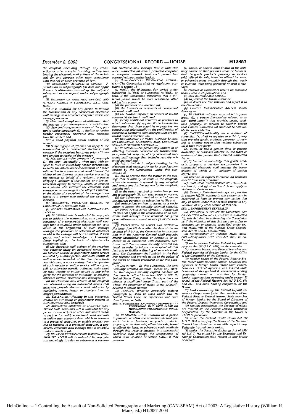*the* recipient (including through any transaction or other transfer involving mailing lists<br>bearing the electronic mail address of the recipi*ent)* for any purpose other than compliance with this Act or other provision *of* law.

**(B)** SUBSEQUENT *AFFIRMATIVE* CONSENT.-A prohibition in *subparagraph* **(A)** does not apply *if* ihere is afiroative *consent* by the recipient *subsequent* to the request under subparagraph

**(A).** *(5) INCLUSION OF* IDENTIFIER, OPT-OUT, **AND** *PHYSICAL* **ADDRESS** *IN* COMMERCIAL *ELECTRONIC* MAIL.

**(A)** It *is unlawfil for* any person *to Initiate* the transmission of any *commercial* electronic *malt* message to a protected *computer* unless the message provides- *(i)* clear and conspicuous *idntification* that

*the* iessage is an advertisement or solicitation; *(il)* clear and conspicious *notice of* the opportunity under paragraph *(3)* to decline *to* receive further comimercial electronic mail messages

*fro., the so-der: and (iii)* a *valid* physical postal address **of** the sender.

*(B)* Subparagraph (A)(i) does *not* apply to the transmission of *a* commercial electronic mail message if *the* recipient has given prior affirta-

tive consent to receipt of the message.<br>
(6) MATERIALLY .- For purposes of paragraph<br>
(1), the term "materially", when used with re-<br>
spect to false or misleading header information, includes the *alteration* or concealment of header information in a manner that *would impair* the ability of an Internet access service processing the message on behalf **of** a recipient, a peison *alleging* a *violation* of this section, **or** a law en*forrement* agency to identify. locate, or respond to a person who *initiated* the electronic mail *message* or *to* investigate the alleged *violation,* or *the* ability ofa recipient of *the* message *to r-spond* to a person who *initiated* the electronic *message*

(b) AGGRAVATED VIOLATIONS *RELATING* TO COMMERCIAL *ELECTRONIC* MAIL- *(I)* **AORESS** *HARVESTING* **AND** DICTIONARY **AT-**

**TACKS.-**

**(A) IN** *GENERAL.-It* is unlawful for any **per,** son to initiate the transmission, to a protected<br>computer, of a commercial electronic mail mes*sage* that *is ulawful* under *subsection* (a), **or** *to* exassit in the origination of such message<br>through the provision or selection of addresses<br>to which the message will be transmitted, if such<br>person had actual knowledge, or knowledge fairly *implied* **on** the basis of *objective ctr*

*cumstances,* that- *(i)* the electronic *mail* addiess of *the* recipient was obtained using an automated means from<br>an Internet website or proprietary online service<br>operated by another person, and such website or<br>online service included, at the time the address *was* obtained, a notice stating that the operator **of** such website or *online service* will *not* **givo,** *sell,* **or** *olherwise* transfer addresses maintained by such website or *online ser-ice* to any other *patty* for the purposes *of initiating,* or enabling *others* to Initiate, electronic **mail** messages or *(ki)* the electronic *mail* address of the recipient

was obtained *using* an automated means *that* generates possible electronic *mail* addresses **by** *combining* taotes. letters, **or** numbers *into* **no-**

*merous* permutations. (B) DISCLAIMER-Nothing *il this* paragraph *creates* an ownership **or** proprietary interest *in* such electronic *mall addresses. (2)* AUTOMATED **CREATION** OF MULTIPLE ELEC-

TRONIC **MAIL** *ACCOUNTS.-It* is unlawful for any **person to use scripts or other automated mean** to register *for multiple* electronic mail accounts or *oline* user accounts from which to transmit *to a protected* computer, **or** enable another per**son** *to* transmit to a protected computer, a com-*mercial* electronic mail message that *is unlawful under subsection* (a).

**(3)** *RELAY OR RETRANSMISSION* THROUGH **UNAU-***THORIZED ACCeSS.-It is* unlawful for any **per-***son* knowingly to relay or retransmit a commer *cial* electronic mail message that is unlawful *under* subsection **(a) from** a **protected** computer or computer network that such person has

occessed without authorization. *(e)* **SUPPLEMENTARY** *RULEMAKrNC* AUTHOR-ITY.-The Commission shall by regulation. pur-

*suant* to section **13-** (1) modify the 10-business-day period under subsection (a)(4)(A) or subsection *(a)(4)(B).* or both, if the Commission determines that a dif*forest* period *would* be *more* reasonable after taking *into* account- (A) the purposes *of* subsection (a); (B) the *interests* of recipients of commercial

electronic **mail,** and (C) the burdens Imposed on senders of lawful

*commercial* electronic mall; and (2) specify additional activities or practices to *which* subsection **(b)** *applies* **if** the Commission determInes that those activities or practices **are** contributing *substantially* to the proliferation of *commercial* electronic mail *messages* that are **un-**

.<br>Lawful under subsection (a).<br>*(d) REQUIREMENT TO PLACE WARNING LABELS* **ON** COMMERCIAL **ELECTRONIC** MAIL *COTAINNG*

**SEXUALLY** ORIENTED MATERIAL, - *(I)* **IN** *GENERAL.-No* person may initiate *In* **or** *affecting* interstate commerce the transmission, to a protected computer, *of* any commercial **ele***tronicalla computer*, or any commercial elec-<br>mail message that includes sexually ori-<br>material and ented material and- (A) *fail* to Include in **subject** heading fur the

*electronic* mall message the marks or notices *pre-scribed* **by** the Commission under this sub-

*section; or* (B) fall to provide that the matter in the message that *is initially* viewable **to** the recipient when the message is opened by any recipient and absent any further actions by the recipient, *Includes* only- **(i)** to the *extent* required or authorized pursu-

*ant* to **paragraph** *(2),* **any** such marks or notices; *(ii)* the *information required* to be *includod it* the message pursuant **to** subsection (a) **(5)** and *(11) Instructions* on how to access, **or** *a* mech-

*anism* to *access,* the *seually oriented* material. **(2) PRIOR** AFFIRMATIVE **CONSENT.** *-Paragraph*

(1) does not apply to the transmission of an *tronic* mail message if the recipient has given prior affirmative *consent* **io** *receipt* of the ms- sage.

**(3)** PRESCRIPTION OF MARKS AND **NOTICES.-** Not later than 120 days after the date of the **en-**actment of *this* Act, the Commission in *consulta*tion with the Attorney General *shall* prescribe *clearly* identifiable **marks or** notices **to be In-***cluded* in **or** associated with commercial electronic mail that contains sexually oriented material, in order **to** inform the recipient of that fact and to facilitate *hitering* of such electronic mail. *The* Conitission *shall* publish in the **Fed***eral* Register and provide notice to the public of the marks or notices prescribed under this para-

**graph. (4)** *DEFINITION-in* this subsection. *the* terts "sexually oriented material" means any material that depicts sexually explicit conduct (as<br>that term is defined in section  $2256$  of title 18,<br>that term is defined in section  $2256$  of title 18,<br>thitled States Code), unle whole, the remainder of which *is* not primarily

devoted to sexual matters.<br>
(5) PENALTY.—Whoever knowingly violates<br>paragraph (1) shall be fined under title 18,<br>United States Code, or imprisoned not more<br>than 5 vears, or both.

*SEC.* **6. BUSINESSES KNOWINGLY PROMOTED BY** *ELECTRONIC* MAIL WITHI **FALSE** OR *MISLEADING* **TRANSMISSION** INFOR. MATION.

**(a)** IN GENERAL-It **is** unlawful for a person to promote. **or** allow the promotion **of** that **per-**son *s* trade **or** business, or goods, products, property, **or** services sold, offered for sale, leased or offered for lease, or otherwise *made* available through that trade *os* business, in *a commrrsal* electronic *mil message* the transmission of which is in *violation of* section *5(a)(l)* if that **person-**

**(1)** knows, **or** should have knows in **the** ordi*nary coust* **of** that **person** *s* **trade or** business, *that the goods, products, property, or services*<br>sold. offered for sale, leased or offered for lease,<br>or otherwise made available through that *trade* **or** business **woe being** prosioted *is* such **a** tiles *sage.*

*(2)* received **or** expected to receive an economic benefit from such promotion; and

**(3)** took no reasonable action- **(A)** to prevent tie transmission; or (B) to detect the transmission and report **It** to

the Commission (b) LIMITED ENFORCEMENT *ACAINST* **THIRD PARTIES.** *-*

*(I)* **IN** GENERAL. *-Except* as provided in **para-**graph (2), *a* person (hereinafter **rfered** to as the "thhid party') that pioides goods. products. property, or services to another *person* that *violates subsection* (a) shall **not** be held la-ble **for** such ciolatioi, (2) EXCEPTION. *-Liability* for a *violation* of

subsection (a) shal be imputed to a **thiud** party that provides goods, products. propety, or **serv-**ices to another *iorson that* violates *subsection* (a) *if* that third party-

**(A)** owns, *or* has a greater titan **50** percent ownership or economic interest in, the trade **or** business **of** the person that *violated subsection (a); or (B)(i)* has actual knowledge that goods, prod-

octs, property, **or** *services* are promoted **in** *a cotmiercial* tleronic *mail message* the transmission **of** which is *in violation* of section  $5(a)(1)$ : and

*(it)* receives. **or** expects to *receite* an *economic benefit* **from** such promotion. *(r)* **EXCLUSIVE ENFORCEMENT BY** FTC.-Sub-

*sectons* **(f)** and **(g)** of section **7** do not apply **to** *violations* **of** this section. *(d) SAVINGS* PROVISiON.-Except as provided

in section 7(f)(8), nothing in this section may be construed to limit or prevent any action that may be taken *under* this Act with respect to any *violation of* any other section of this Act. **SEC. 7. ENFORCEMENT GENERALLY.** 

**(a) VIOLATION** *IS UNFAIR OR DECEPTIVE* **ACT** OR PRACTICE.-Except as provided in *subsection* **(b), this** Act shall *be* enforced **by** the Commission as if the **violation** of this **Act were** an unfair or deceptive act or practice proscribed under sec-<br>tion 18(a)(1)(B) of the Federal Trade Commis-

sion Act (15 **U.S.C. 57a(a)(1)(B)).**<br>(b) ENFORCEMENT BY CERTAIN OTHER AGEN-<br>CIES.-Compliance with this Act shall be en*forced-*

*(I)* under section *8* of **the** Federal Deposit tn-

*,oraiie* Act (12 **US. C. 1818),** in **the** *cast* **of-** (A) national banks, and Federal branctes and

rederal agencies of foreign banks, by the Office<br>Federal agencies of foreign banks, by the Office<br>(B) member banks of the Curency;<br>(B) member banks of the Federal Reserve System<br>(enter than national banks), branches and<br>ag branches, **Federal** agencies, *atd* isured State branches **of** foreign *banks),* commercial lending companics owned **or** controlled by *foreign* banks, organizations operating *under* section **25** or **25A** of the Federal *Reserve* Act *(12* US **C. 601** and *611).* **and** bank holding companies, **by the** Board,

**(C)** banks insured by the Federal Deposit *Insurance* Corporation (other than members **of** the Federal **Reserve** System) *Insured* State branches realian west response to the Board of Directors of<br>the Federal Deposit Insurance Corporation; and<br>(D) savings associations the deposits of which<br>are insured by the Federal Deposit Insurance<br>are insured by the Federal Depos

Corporation, **by** the Director of the Office of Thrift *Superrision;* (2) under the Federal Credit Union Act (12 *U.S.C.* 1751 ot *seq.)* by the Board of cie National

Credit Union Administration with respect to any Federally *nsured* credit union; **(3)** *under* the Securities Exchange Act of **<sup>1934</sup>**

**(15** *U.S.C.* 78a *et* seq.) **by** the Securities and **Ex-**change Commission with respect to aiy broker **or** dealer,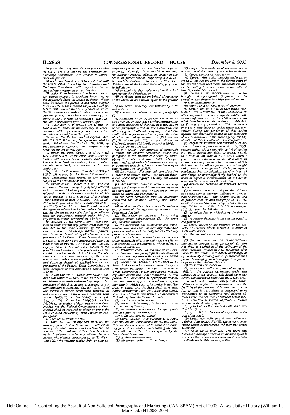(4) under the Investment Conpany Act of 1940 *15 US.* **C** *8O-I* ci *seq.)* **by** the Securities and *Exchage Comuiscion with respect to invest 'inentconiipanis;* **(5)** *under the* Investment Advisers Act of *1940*

*(1 U.S.C 8ib-1 et* seq.) **by** the Securities and *Exchange* Commission with respect to invest*mnent* advisers registered under that Act; (6) under State insurance law in the case *of*

any person engaged **i** providing insurance, **by** *te* applicable State *insurance* authority **of** the State in which *the* person is domiciled. subject to section *104* of the *Gramm-Blley-Learh* Act **(15** *U.S* **C** 6701). except *that* in any State in *which* the *Seato insurance* authority elects not *to* **exer***cise* this power, *the enforcement* authority pur-*suant to* this **Act** shall be exercised **by** the **Com-**

mission in accordance with subsection (a);<br>(7) under part A of subtitle VII of title 49,<br>United States Code, by the Secretary of Trans-

portation with respect to any air carrier or for-<br>eign air carrier subject to that part;<br>(8) under the Packers and Stockyards Act,<br>1921 (7 U.S.C. 181 et seq.) (except as provided in<br>section 406 of that Act (7 U.S.C. 226, 2 the Secretary of Agriculture with respect *to aty activities* subject *to* that Act; *(9)* under the Fari Credit Act of **1971** (12

U.S.C. 2001 et seq.) by the Farm Credit Administration with respect to any Federal land bank,<br>Federal land bank association, Federal inter-<br>Federal land bank, or production credit asso-<br>mediate credit bank, or production c *ciatio,* and

*(11)* inder the Communications Act *of* 1934 *(47 U.S.C, 151 et* seq) **by** the **Federal** Cummunica**tions** Comiission with respect to any *person* subject to *the* provisions *of* that Act. *(t) EXERcISE OF CERTAIN POWERS-For* the

purpose of the exercise **by** *any* agency referred *to In* subsection **(b)** of its powers under any Act referred to in that subsection, a violation of this Act is **deemed** *to* be a violation of a Federal Trade Commission trade regulation rule. In ad-<br>dition to its powers under any provision of law<br>specifically referred to in subsection (b), each of<br>the agencies referred to in that subsection may exercise. for the purpose of enforcing compliance<br>with any requirement imposed under this Act,<br>any other authority conferred on it by law.<br>any other authority conferred on it by law.<br>Id) Actions BY THE COMMISSION.—The Com-

mission shall prevent any person from violating<br>this Act in the same marner. by the same<br>means, and with the same jurisdiction, powers,<br>and duties as though all applicable terms and<br>provisions of the Federal Trade Commissi (15 U.S.C. 41 et seq.) were incorporated into and<br>made a part of this Act. Any entity that violates<br>any provision of that subitite is subject to the<br>penalties and entitled to the privileges and im-<br>monities provided in th means, and with the same jurisdiction, power and duties as though all applicable terms and *provisions* of the Federal Trade Commission Act were *incorporated* into and made a part of that subtitle.

*(e) AVAILABILITY* OF CEAsE-AND-DESIST OR-*DERS* **AND INJUNCTIVE** *RELIEF WITHOUT* **SHOWING** *OF KNOWLEE.-Notwithstaiiding* any other provision of this Act, in any proceeding or action pursuant to subsection (a), (b), (c), or (d) of this section to enforce compliance, through an order to cease and desist or an injunction, with *section 5(a)()(C), section 5(a)(2),* clause **(H),** *(in).* or (iv) *of* section *5(a)(4)(A), section 5(b)(l)(A),* or *section* **5(b)(3),** neither the Commission *nor* the Federal Communications Commission shall be required *tw* allege or prove the state of mind required **by** such section *or* **sub***paragraph-*

(f) ENFORCEMENT BY STATES.—<br>(1) CIVIL ACTION.—In any case in which the<br>attorney general of a State, or an official or<br>agency of a State, has reason to believe that an<br>interest of the residents of that State has been or is threatened or adversely affected by any<br>person who violates paragraph (1) or (2) of sec-<br>tion 5(a), who violates section 5(d), or who en-

gages in a pattern or practice *that violates* para-graph *(3). (4),* **or** *(5) of* section *5(a), of* this Act, the attorney general official, or agency of the State. as parens patriae, may bring a civil ac-*tion* **no** behalf of the residents of the State in a district court of the United States of appropriate jursdiction- **(A)** to enjoin further *violation* of section *5* of

this Act **by** the defendant; *or*

(B) to obtain damages **on** behalf of resldents of the State, in an amount equal *to* the greater **of-** *(i)* the actual monetary loss suffered by such

residents; **or** *(ii)* the amount detensned under paragraph

(3).(2) AVAILABILITY *OF* **INJUNCTIVE** *RELIEF WITH-***OUT** *SHOWING* OF *KNOWLEDGE. -Notwithstanding* any other prevision of *this* Act, *in* a civil action under paragraph  $(i)/A$ ) of this subsection, the attorney general, official, or agency of the State<br>shall not be required to allege or prove the state<br>of mind required to allege or prove the state<br>of mind required by sectio *5(a)()(A),* section 5(b)(l)(A), or section **5(b)(3). (3)** STATUTORY *DAMAES. -* **(A) IN** *GENERAL.-For* purposes of paragraph

(1)(13)(d)*,* the amount determined under this paragraph is *the* amount calculated **by** *muli-*plying the number of violations (with each sepa*rately* addressed unlawful message received by *or* addressed *to such* residents *treated* as *a* sepa-

rate violation) by up to \$250.<br>- (B) LIMITATION.—For any violation of section<br>5 (other than section 5(a)(I)), the amount deter-<br>mined under subparagraph (A) may not exceed *\$2,00D.060.*

**(C)** AccAVATED DAMACES.-The court may increase a damage award to *at* amoutit equal **to** *not* more than three *times the* atount otherwise

*available* onder *this paragioph* if- *(i)* the *court* determines that the defendant *committed* the violation willfully and *know-*

*ingly or (it)* the defendant's unlawful activity *included* one or more of the aggravating *violations* set forth *in* section **5(b).**

*(D) REDUCTION OF DAMAGES.—In assessing<br>damages under subparagraph (A), the court<br>may consider whether-*

*(I)* the defendant has established *and bsple*mented, with due care, commercially *reasonable* practices and prncedures designed to *effectively* prevent *such* violations; *or*

*(it)* the *violation occurred* despite **come-e** *daily reasonable efforts to maintain commercients*<br>the practices and procedures to which reference<br>is made in clause (i).

(4) ATTORNEY *FEES. -In* the *case* of any **suc**cessful action under paragraph (I), the court, in<br>its discretion, may award the costs of the action and *reasunable* attorney fees *to* the State **(5)** *RIGHTS OF FEDERAL* RECULATORS,-The

State shall serve prior written notice of any ac-<br>tion under paragraph (i) upon the Federal<br>Trade Commission or the appropriate Federal<br>regulator determined under subsection (b) and provide *the* Coummission **or** appropriate Federal *regulator* with a copy of *its* complaint, except in any case *In* which such prior *notice Is* not *tea-*sible, *In* which *case the* State shah serve such *notice* immediately upon instituting such action. The Federal Trade Commission or appropriate Federal *regulator* shall have the rIght- **(A)** to intervene in the *action;* (B) upon *so ntervening,* to be heard *on all*

*matters* arising therein; **(C)** to remove *the* action to *te appropriate*

United States district court: and *(D)* to file petitions **for** appeal.

*(6)* CONSTRUCTION. *-For* purposes of bringing any civil action under paragraph *(1). nothing* in this Act *shall* be *construted* to prevent *an attor-*ney general of a State from exercising the pow*ers* conferred **on** the attorney general **by** the *laws of that* State *to-*

Manz, ed.) H12858 2004

**(A)** conduct iivestigations; (B) adntinister *oathis* or affirmations; **or**

(C) compel the attendance of witnesses *or* the

production of documentary and other evidence.<br>
(7) VENUE; SENVICE OF PROCESS.—<br>
(7) VENUE:  $\sim$ Arry action brought under para-<br>
graph (1) may be brought in the district court of<br>
the United States that meets applicable re

brought under paragraph **(1).** process may *be* served in any district in which the defendant- **(t)** *is* an *inhabitant;* or

(ii) maintains a physical place of business.<br>
(8) LIMITATION ON STATE ACTION WHILE FEDERAL ACTION IS PENDINC.—If the Commission, or<br>
other appropriate Federal agency under sub-<br>
section (b), has instituted a civil action administrative artion for violation **of** this Act, **no** State attorney general, or official **or** agency of a State, may bring an action under this sub*section* during the pendency of that action against any defendant named in the complaint **of** the Commission or **the** other agency for **any** *violation of this Act alleged in the complaint.*<br>(9) REOUISITE SCIENTER FOR CERTAIN CIVIL AC-

(8) Regulars extent as a provided in sectral in  $\mathcal{L}(11. Ac$ .<br>  $T(08.8-Except)$  as provided in section 5(a)(1)(C), section 5(a)(2), exetion 5(b)(2),  $\mathcal{L}(010.8-1)$  and  $\mathcal{L}(010.8-1)$  and  $\mathcal{L}(010.8-1)$  in a civil acti **basis of objective circumstances, of the act or**<br>**(g) ACTION that constitutes the violation.**<br>**(g) ACTION BY PROVIDER OF INTERNET ACCESS**<br>**SERVICE.--**

**(1)** ACTION *A UTHORvZED.* **-A** provider *of* Inter-

net access service adversely affected **by** a viola-tion of section 5(a)(). **5(b). or 5(d). or** a pattern or practice that violates paragraph (2), (3), (4), or (5) of section 5(a), may bring a civil action in<br>any district court of the United States with ju-<br>risdiction over the defendant—<br>(A) to enjoin further violation by the

(B) to *recover* damages in **an** amount equal to

the greater of- (I) actual monetary loss incurred by the pro-

*vider* of *lnternet* access service as a *result* of such violation; or

(ii) the amount determined under paragraph (3) (2) **SPECIAL DEFINITION OF** *"PROCURE",-In*

any action brought under paragraph (1), this<br>have action brought under paragraph (1), this<br>have term 'procure' in section 3(12) contained, after<br>"behalf" the words 'with actual knowledge, or<br>by consciously avoiding knowing

*(2)* STA *TUTORY* **DAMAGES.** *-* (A) IN **GENERAL.** -FOr purposes *of* paragraph *(l)(B)(l),* the amount determined under this paragraph is the amount calculated by multiplying the number of violations (with each separately addressed unlawful message that is tr interest and according to the transmitted over the<br>facilities of the provider of Internet access service.<br>ice, or that is transmitted or attempted to be<br>transmitted to an electronic mail address oba answered to an excellent fluence access service in violation of section  $5(b)(1)(A)(i)$ , treated<br>as a separate violation) by-<br>as a separate violation by-<br> $\alpha$  in the case of a violation of sec-

tion *S(a)* **():** *or (d)* up to \$25, in the *case* of any other viola-**tion** of section **5.** *(B)* **LIMITATION,-Fr** any *violation* **of** *section*

**5** (other than section 5(a)(1)), the amount determined *under* subparagraph **(A)** may not *exceed* **\$1,00,00.**

*(C)* AGGRAVATED DAMAGES.-The court *may* Increase a damage award to an amount equal to **not** more than three times the amount otherwise *available under* this paragraph if-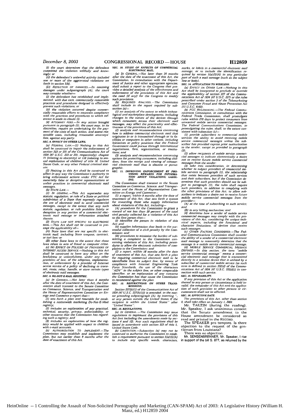*(i)* the court determines that the *-ammitted* the *violation* willfully a *irgly:* or

g.y., o.,<br>(ii) the defendant's unlawful activity included *one ot more* of the aggrarated riol *forth* in section **5(b).**

**(D) REDUCTION OF** *DAMACES.-In damages* under subparagraph (A), may consider whether-

*(i)* the defendant has established *a*  $mented$ , with due care, commercially reasonable *practices* **and** procedures designed *to* **prevent** such *violatiors;* **or**

*(11)* the *violation* occurred despite *commer-* section *(a) cially* **reasonable** *efforts to maintain* reith *the* practices and procedures to erence is **made** *clause ().*

(4) ATTORNEY *FEES.-In* any actio *pursuant to* paragraph (1), the court, discretion, require an undertaking ici ment of the costs *of* such action, **anda** sonable costs, including reasonable attorneys **fees,** against any **party.**

*SEC.* **8. EFFECT ON** OTHER LAWS.

(a) FEDERAL **LAW.-(I)** Nothing in *shall* be construed to *Impair* the *enfor* section **223 cr 231 of** the Communtcaim ins **Act of** tions; and *1934* (47 U.S *C.* 223 or 231, respectively *71* (relating to obscenity) or **110** *(relatr ual* exploitation **of** *children)* **of** title *States* Code, *or* any other Federal *crin*

*(2)* Nothing *in* this Act *haiH* be **cur** affect in any way the Conmission's *at* bring *enforcemient* actions under *FT materially false* or deceptive represen unfair practices *in commercial* electi

messages.<br>*(b) STATE LAW.* 

(1) IN GENERAL.-This Act supersedes any *statute,* regulation, **or** rule *ofa* State subdivision of a State that expressly the use *of* electronic *mail* to send messages, except to the extent that statute, *regulation.* or rule prohibits deception in *ary* por *tion* of a *conne oeic mail* iressage or *information* thereto.

(2) **STATE** *LAW* **NOT SPECIFIC** *TO EL* MAIL *-* This Act shall not be *constru*

*erpit* the applicability of- **(A)** State laws that *are* **not** *specif, tronic* mail, including State trespass. or tort *law,* or

(B) other State laws *to* the extent laws relate to acts of fraud **or** compu *(c)* **NO EFFECT** *ON* POLICIES OF PRO

INTERNET ACCESS SERVICE.-Nothing in *shall* be *construed* to hare *any effec* lawfulness or unlawfulness. **under** provision **of** law. **of** the adoption. *im tio,* or enforcement **by** *a* provider *o* access service of *a policy of* **declining mit** *route, relay,* handle. or store **cet,** of electronc *mail* messages.

*SEC. 9.* **DO-NOT.E-MAIL** *REGISTRY.*

(a) IN GENERAL.-Not later than 6 months after the *date of enactment of* this *Act,* mission shall transmit to the Senate<br>on Commerce, Science, and Transport *the Short shart carding*<br>on *Commerce, Science, and Transportation and<br>the House of Representatives Committee on En-*

ergy and Commerce a report that- *(I)* sets **forth** a plan and timetable *lishing* a nationwide marketing Do-A

*registry* (2) includes an explanation *of* any technical, security, privacy, enforcea *technical, security, privacy, enforceability, or other concerns that the Commission has regarding* such a registry, *and* **(3)** includes *an* explanation of how

*istry* would be applied with respect *to* with e-mail *accounts.*<br>(b) AITHORIZATIO

*(b) AUTHORzATION* TO IMPLEM Commission may establish and *imph* plan, but not earlier than *9* months date of *enactment ofthis* Act.

**defendant** *SEC. 10. STUDY* **OF EFFECTS** OF COMMERECIAL **od know- REECTRONIC** *MAIL.* (a) IN *GENERAL.-Not* later than 24 months

*<sup>y</sup>*included *aler the* date of the enactment *of* this Act, the aions set Coommission, in consuitation witl the Departotent of *Jusrice* and other appropriate agencies, assessing shall submit a report to the Congress that pro-<br>the court vides a detailed analysis of the effectiveness and<br>enforcement of the provisions of this Act and<br>ind imple- the need (if any) for the Congress to modify

*reasonable* such provisions. *effectively* **(h)** *REQUIRED* ANALYSIS. The Commission *shall Include in* the *report* required by sub-

ompliance (1) an analysis of the extent to which techno-<br>ompliance logical and marketplace developments, including<br>changes in the nature of the devices through n brought which consumers access their electronic mail<br>may, in its messages, may affect the practicality and effec-<br>tiveness of the provisions of this Act;<br> $\epsilon$  the pay-<br> $\frac{1}{2}$  analysis and recommendations concerning<br>a

*a* how to address commercial electronic mail that<br>originates in or is transmitted through or to fa*cilities or computers in other nations, including initiatives or policy positions that the Federal <i>Property posted in the reacher of the reacher of power ment could pursue through international negotiations, fora, organizations, or institu-*

*).* chapter (3) *analysis and* recommendations *concerning tng* o **sex-** options for protecting *consumers,* including *chi-18. United dren,* from the receipt and viewing of commer- rinal stat *clal* electronic mail that Is obscene or porno-

**STANDUM STANDULE SUBMIC.**<br>Interlive of the MING REWARDS FOR INFORMA-<br>C Act of TION ABOUT VIOLATIONS; LABEL-<br>C Act of TION ABOUT VIOLATIONS; LABEL-<br>Italians ar

*oic mail* The Couoissrorr shall transmit *to* the *Senate* Committee **on** Commerce. Science and Transpur. eacion *and* the House of *Representatives* Committee on *Energy* and *Commerce*-<br>(1) a report, within 9 months after the date of

w political **(I)** a report, *within* 9 *months* after the date of *regnilaes enactment* **of** *this* Act, that sets forth a *system cmercial for rowarding* those who supply information *arty* such about *violations* **of** this Act *including-*

Falsity or (A) procedures for the Commission to grant a<br>rcial elec- reward of not less than 20 percent of the total<br>attached civil penalty collected for a violation of this Act to the first person that-*ECTRONC (i)* Identifties the person in *violation* of this

*ed tO pre-* Act, *aid (it)* supplies Information that leads is *the* stir

**to** *c* tessful *collection* of a civil penalty by the *Cne- cotrc, irssion and contract,* (B) procedures to minimize the *burden of sob-*

that those mitting a complaint to the Commission con-<br>ter crime. eerning violations of this Act, including proce-<br>ter crime. dures to allow the electronic submission of com-<br>VIDERS OF plaints to the Commission: and

rr this Act (2) a report *within I months aer he* date *ct* on the of *enactment* of this Act, that sets forth *a* plan any other for requiring commercial electronic mail to be<br>plementa - Identifiable from its subject line, by means of<br>f Internet compliance with Internet Engineering Task<br>to to trans- Force Standards, the use of the characte *identifier, or an explanation of any concerns*<br>the Commission has that cause the Commission<br>6 months to recommend against the plan.

**SEC. 12. RESTRICTIONS ON OTHER TRANS-**<br>**MISSIONS** 

*Committee* MISSIONS *alien* and Section 227(b)(1) of the Communications Act of *ee on* **En-** 1934 (47 USC, *Z2(b)()) is* amended, *in* the mat*ter preceding* subparagraph **(A), by** inserting *", for* estab- or any *person outside* the UnIted States *If* the rat-E-Mail recipient is within the United States" after *"Unite* States".

practical. **SEC. 13. REGULATIONS.**

(a) IN GENERAL.-The Commission may issue egard-<br>stregard-<br>Act (not including the amendments made by sec-<br>et for the local and 12). Any such regulations shall be<br>et the reg-<br>tions 4 and 12). Any such regulations shall be children issued in accordance with section 113 **of** title *5,*

*United States Code.*<br> **United States Code.**<br> **(b) LIMITATION.** —Subsection **(a)** may not be construed to authorize the Commission to estabafter the *lish* a requirement pursuant to section *5(a)(5)(A)* to *Include* any specific words, characters,

**H12859**<br>marks, or labels in a commercial electronic mail marks, or *above at a commercial execution re-*<br>message, or to include the identification re-<br>quired by section 5(a)(5)(A) in any particular<br>part of such a mail message (such as the subject line or body).

*SEC.* **14. APPLICATION** TO WIRELESS.

(a) EFFECT *ON OTHER LAW.-Nothing* rn this Act shall **be** interpreted to preclude **or** override the applicability of *section* 227 of the Commu-nications **Act** of 1934 **(47 U.S.C. 227) or** the rules *proscribed under section* **3 of** the Telemarketing and Consumer Fraud **and** Abuse Prevention Act **(15 U.S.C.** 8102).

**(b)** FCC *RULEMAKING,-The* Federal Commu- nications Commission, in consultation with the Federal Trade Commission, shall promulgate rules within **270** days to protect consumers *iron unwanted* **umbile** *service ornmerciol meogsges.* **The** Federal Commnicatons Commission, i *promulgating* the **rules,** shall, to the extent **con-** *sistent* with subsection (c)-

**(1)** provide subscribex to commercial mobile services the *ability* to avoid receiving mobile *service* comoerrial *messages* unless the sub-*scriber* has provided express prior authorization **to** the sender, except as provided *In* paragraph

**(3);***(2)* allow recipients of mobile service rommercial messages to indicate electronically a desire<br>not to receive future mobile service commercial<br>messages from the sender;<br>(3) take into consideration, in determining<br>whether to subject providers of commercial mo-

bile services to paragraph (1), the relationship that exists between providers **of** such services and their subscribers, but if the Commission **de** termines that such providers should not be sub-<br>ject to paragraph (1), the rules shall require<br>such providers, *in addition to complying with*<br>the other provisions of this Act, to allow subscribers to *Indicate* a desire not to receive future mobile *service* comorercial *messages* from the *peorder-*

**(A)** at the time of subscribing **to** such service;

and<br>(B) in any billing mechanism; and<br>(4) determine how a sender of mo

(B) in any billing mechanism; and<br>
(A) determine how a sender of mobile service<br>
commercial messages may comply with the pro-<br>
visions of this Act, considering the unique tech-<br>
nical aspects, including the functional and

**such me** *sages.* (c) OTHER *FACTORS* **CONSIDERED,-The Fed**oral Communications Commission shall **consider** the ability of a sender **of** a conmmrelal electronic *mail message* to roasuably determine that the

iessage is a mobile service *commercial* message. **(d)** MOBILE **SERVICE** COMMERCIAL **MESSAGE** DEFINED.-In this section, the **teri** ''mobile service commercial *aressage" means* a coormer*clal* electronic mail *nressage* that is transmitted directly to a wireless device that **s utilized** by a subscriber of commercial *mobile service* (as such *Ierm is defined in section 332(d) of the Commu-*<br>*nications Act of 1934 (47 U.S.C. 332(d))) in con*nection with such service.

*SEC.* **15.** *SEPARABILITY.*

*If any* provision of this Act **or** the application thereof to any person or circumstance **is** *held* **in-alid.** the remainder *of lhis* Act **and** the applica*tnon* of such provision to other persons or **cr-** *cumostances sholl* tot **be** affected.

*SEC.* **16. EFFECTIVE DATE.**

The provisions of this Act, other than section **9,** shall take effect **on** January **1.** 2004, Mr. TAUZIN (during the reading).

Mr. Speaker, **I** ask unanimous consent that the Senate amendment to the House amendment be considered as read and printed in the RECORD. The SPEAKER pro tempore. Is there

objection to the request of the gen-tlerman from Louisiana?

There was no objection. **Mr. SENSENBRENNER.** Mr. Speaker, **I** rise **in** support **of** the bill **S. 877,** as **returned by the**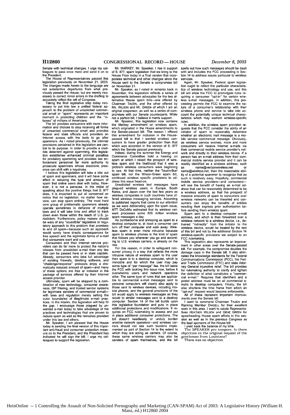Senate with technical changes. I urge my colleagues to pass once more and send it on to the President.

The House of Representatives passed this legislation previously on November 21, 2003. The changes made herein to the language are not substantive departures from what previously passed the House, but are merely necessary to correct minor errors in the drafting to accurately reflect the will of Congress.

Taking the final legislative step today necessary to put into law a unified federal **ap**proach to the problem of unsolicited commercial email or "spam" represents an important moment in protecting children and the "in-<br>boxes" of millions of Americans.<br>The bill provides consumers with more infor-

mation and choices to stop receiving all forms of unwanted commercial email and provides federal and state officials and providers on Internet access with the tools to go after spammers. As I noted previously, the criminal provisions contained in this legislation are central to its purpose. In order to provide a credible deterrent against spamming, this legislation establishes enhanced criminal penalties for predatory spamming and provides law en-forcement personnel far more authority to prosecute spammers whose electronic presence can shift with a keystroke.

I believe this legislation will take a bite out of spam and spammers, and it will have some effect in reducing the type and amount of spam that online users deal with today. How-<br>ever, it is not a panacea. In the midst of ever, it is not a panacea. In the midst of speaking about the positive things that S. 877 does, it is important to put all concerned on notice that no legislation, no matter how se-vere, can stop spam entirely. The most hard core group of problematic spammers already operate sometimes in defiance of multiple laws and it will take time and effort to **track** down even those within the reach of U.S. ju risdiction. Furthermore, policy makers should be wary of any "soundbite" legislative or regulatory approach to this problem that promises to end all sparn-because such an approach would surely have drastic consequences for free speech and the legitimate forms of e-mail

Consumers and their Internet service providers can do far more to protect the nation's inboxes from unsolicited e-mail than any law that can be passed here or in state capitals. Already, consumers who take full advantage of existing firewalls, blocking software, and "challenge/response" protocols enjoy a dramatically reduced amount of spam-and many of these options are free or included in th package of services offered by their Internet

access provider. Ultimately, spar will be stopped by a combination of new technology, consumer aware-ness, ISP filtering, and trusted sender systems for legitimate senders of commercial e-mailfor legitimate senders of commercial e-mail-<br>with laws and regulation merely setting the<br>outer boundaries of illegitimate e-mail practices. In the interim, this legislation will help fill the gap. I encourage those plagued by wanted e-mail today to take advantage of the practices and technologies that are p reduce spam as well as **the** remedies provided under this law and others.

Mr. Speaker, I am pleased that the House today is sending the final version **of** this impor- tant anti-fraud and consumer protection measure on to the President, and the President has indicated he will sign the bill. I urge my colleagues to support the legislation.

Mr. MARKEY. Mr. Speaker, I rise in support of **S. 877,** spare legislation that we bring to the House Floor today in a final version that incorporates technical and other changes since the House sent to the Senate a compromise bill

on November 21. Mr. Speaker, as I noted in remarks back in November, this legislation reflects a series of agreements between advocates for the two alternative House spam bills-one offered by Chairman **TAUZIN,** and the other offered by Ms. **WILSON** and Mr. **GREEN** of which I am an original cosponsor, as well as a series of compromises with our Senate counterparts. While not a perfect bill, I believe it merits support.<br>Mr. Spooker, this logislation now contri-

Speaker, this legislation now contains the Markey amendment on wireless spam, which originated in the House amendments to the Senate-passed bill. The reason **I** offered this amendment for inclusion **in** the House- passed bill is that I wanted wireless consumers to have greater protection than that which was accorded in the version of S. **877** which the Senate passed previously.

Indeed, during the summer the Energy and Commerce Committee held a hearing on spam at which I raised the prospect of wireless spam and the likelihood that it was a problem wireless consumers were beginning to sea, At that time, neither the Tauzin-Burr spam bill, nor the Wilson-Green spam bill, continued wireless specific provisions to ad-<br>dress this issue head-on.

Unsolicited wireless text messages have<br>agued wireless users in Europe, South plagued wireless users in Korea, and Japan over the last few years as wireless companies in such countries have offered wireless messaging services. According to published reports that came to our attention<br>as we were deliberating upon the spam issue, as we were deliberating upon the spam issue,<br>NTT DoCoMo estimated that its wireless network processes some **800** million wireless

spam messages a day.<br>As cumbersome and annoying as spam to a desktop computer is, at least a consumer can turn off their computer and walk away. Wireless Spam is even more intrusive because spam to wireless phones is the kind of spam that follows you wherever you go and according to U.S. wireless carriers, is already on the rise.

For this reason, in order to safeguard consumer privacy in a way that reflects the more intrusive nature of wireless spam to the user than spar is to a desktop computer, which is immobile and for which the user may pay some type of "per message" fee, the bill tasks the FCC with tackling this issue now, before it overwhelms users and network operators alike. The same type of wles that are applica- ble to commercial e-mail messages sent to personal computers will clearly also apply to<br>those sent to wireless devices, including mothese sent to wind the sent to will be phones, and the general provisions of the bill would apply to wireless messages as they would to similar messages sent to a desktop computer. Section 14 of the bill builds upon<br>this legislative foundation and puts in place this legislative foundation and puts in place<br>additional protections and modifications. It requires an FCC rulemaking to assess and put<br>in place additional consumer protections. The bill doesn't needlessly or unduly burden wireline network operators-and wireless car riers should not see such burdens implemented as part of Section 14 to the extent to which they are acting **as** carmers. Of course, these same wireless carriers may also be senders of spam themselves, and the bill spells out how such messages should be dealt with and includes the **FCC** proceeding in Section 14 to address issues particular to wireless

services. Again, Mr. Speaker, Federal spam legislation ought to reflect the particular characteristics of wireless technology and use, and this<br>bill will allow the FCC to promulgate rules requiring a consumer "opt-in" for certain wireless e-mail messages. In addition, this proceeding permits the FCC to examine the ture of a consumer's relationship with their wireless phone and service to take into account the potentially unique technical characteristics which may warrant wireless-specific rules.

In addition, the wireless spam provision requests that the FCC consider the ability of an<br>initiator of spam to reasonably determine initiator of spam to reasonably determine whether an electronic mail message is a mobile service commercial message. Obviously, as wireless service evolves, more and more consumers will receive Internet e-mails via their commercial mobile service previder's network and directly to their wireless device. If a person has an e-mail address from their commercial mobile service provider and it can be readily identified as a wireless address, such ame@verizonwireless.net name@wireless.net, then the reasonable abil-

ity of a potential spammer to recognize that as such is relatively easy. Hopefully, commercial mobile service providers-and consumerswill see the benefit **of** having an e-mail address that can be reasonably determined to **be** a wireless address, so that the prospect of massive amounts of spam **to** consumers over wireless networks can **be** thwarted and consumers can enjoy the benefits of entities needing their express prior authorization be-<br>fore sending them wireless spam.

Spam sent to a desktop computer e-mail address, and which is then forwarded over a wireless network to a wireless device, i.e., de-"indirectly" from the initiator wireless device, would be treated **by** the rest of this bill and not **by** the additional Section 14 wireless-specific provisions we subject to **an**

FCC researches.<br>This legislation also represents an improvement in other areas over the Senate-passed bill. For example, the compromise doubles the damage caps in the Senate bill. It also elimi**nates** the knowledge standards for the Federal Communications Commission (FCC), the Federal Trade Commission (FTC) and state Attorney General injunctive relief. The bill provides for rulemaking authority to clarify and tighten the definition of what constitutes a "commer-cial e-mail." Requires that identifiers and a postal address must be on all commercial e mails to desktop computers. Finally, the bill also shortens the time frame from which an "opt-out" request would become enforceable.

**All** of these represent important improvements over the Senate bill. **<sup>I</sup>**want to commend Chairman **TAUZiN** and

Ranking Member **DINGELL** for their excellent work in this area. **I** want to salute Representa tives **HEATHER WILSON** and **GENE GREEN** for spearheading House spam efforts in this ses**sion** as well as in the previous Congress as the lead sponsors of the House bill.

**<sup>I</sup>**yield back the balance of my time. The SPEAKER pro tempore, Is there objection to the original request of the gentleman from Louisiana? There was no objection.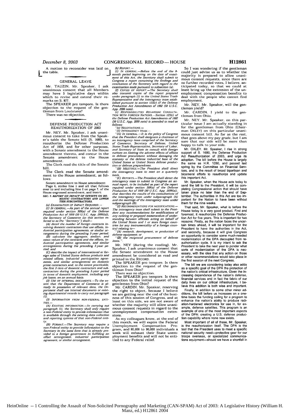*arrangements during the preceding 5-year pe- Mr. actor* during the reading). Mr. authorization cycle. It is my intent to ask the next year to ponder what the next year to ponder what the next year to ponder what is ne

eign sales of United States defense products and amendment be considered as read and or other necessary, with the team and amendment be considered as read and or other necommendations would take place in the second and con contractors during the preceding 5-year period term and trom Ohio?<br>
the nation's critical infrastructure. Given the in-<br>
in terms of domestic employment, including any There was no objection.

*ready in possession of relevant data, the ex-* objects on  $\alpha$  and  $\alpha$  and  $\alpha$  is addition is both wise and important.<br>*ready in possession of relevant data, the De-* Mr. CARDIN. Mr. Speaker, reserving lieve this additi

(a) Existing the Secretary shall only require mous consent requests in regard to the ample, defense satellites. This program is an appropriate the state of the state of the state of the ample of the most inportant aspects

*agreenent or similar arrangement* tied to any Federal relief. lions equipment-should **we** have a shortfall in

which to revise and extend their re-<br>marks on S. 877.<br>The SPEAKER protought and the interagency ream estable marks on S. 877.<br>The SPEAKER protempore. Is there *lished pursuant to section 123(c)* of the Defense<br>objection t

tleman from Louisiana? *(c) RESPONSIBILITIES REGARDING CONSULTA-* Mr. CARDIN. I yield to the gen-There was no objection. *TION WITH* FOREIGN *NATIONS. Section 123(c) of* tleman from Ohio. *the Defense Production Act Amendments of 1992* Mr **NEY** Mr Speaker, on this par-

mous consent to take from the Speak-<br>
er's table the Senate bill (S. 1680), to *an interagency team comprised of the Secretary*<br>
reauthorize the Defense Production of *Commerce*, *Secretary of Lahen*,<br>  $\Delta t$  of 1950, and f reauthorize the Defense Production *of Commerce, Secretary of Defense*, United<br>Act of 1950, and for other purposes, *States Trade Representative, Secretary of Labor*, happy to talk to your side. with a Senate amendment to the House and Secretary of State to consult with foreign Mr. OXLEY. Mr. Speaker, I rise in strong<br>amendment thereto, and concur in the nations on limiting the adverse effects of offsets support o Senate amendment to the House *in defense procurement without damaging the* Act Reauthorization of 2003, and urge its<br>economy or the defense in a state of the election in the defense industrial base of the adoption. The bi

lows:<br>lows: interesting the mandment: the experiment of the property team to submit to Congress an an-<br>Senate amendment to House annotation interest and to submit to Congress an an-<br>Page 6, strike line I and all that follo required under section 309(a) of the Defense pleing Congressional action that shows to an increasional action that should have<br>poet to and including line 2 on page 7, of the *required under section AC to Stop, 2099(a)*, t

(i) IN GENERAL .- As part of the annual report (i) RECOMMENDATIONS FOR MODIFICATIONS.-<br>(ii) IN GENERAL .- As part of the annual report (in entergency team shall submit to the Presi-<br>required under section 309(a) of the Def required under section 309(a) of the Defense dent any recommendations for modifications of HOUSE today is a very good product. First after any recommendations for modifications of HOUSE today is a very good product. First the Secretary of Commerce (in this section re-<br>
the standing between officials acting on behalf of tion Act for five years. This is important for two<br>
ferred to as the "Secretary") shall—<br>
(A) detail the number of foreign

detection and **international or formulation** of the DPA is nec-<br>*iC*) describe the impact of international or for-the Senate amendment to the House<br>gravitation of the DPA is nec-<br>gravitation of the DPA is nec-<br>gravitation *the Senate amendment to the House amendment* be considered as read and

*prime contractors and. to the extent practicable,* **The** bill **we are considering today also adds**

ready in possession or reastance and, or existent in the right to object, because I believe Finally, in addition to some other minor ad-<br>partner shall use internal documents or existent the right to object, because I belie If *g* departmental records to carry out paragraph we are getting near the end of the busi-ditions, the bill before us increases on a one-<br>
(3) INFORMATION FROM NON-FEDERAL ENTI- ness of this session of Congress, and at ti

reporting systems of that non-reactment and this month, we will expire the Federal Most important of all of these, Mr. Speaker, the state of the comparison of the Speaker, and the state of the state of the state of the sta пол-серегалениу обрючае площация о оне<br>Secretary in the same form that is already pro- gram, and 80,000 to 90,000 individuals a tool that the President uses to meet a specific<br>Vided to a foreign government in fulfilling a *offset arrangement. Industrial participation* ployment benefits and will not be enti- troops overseas, or specialized communica-

A motion to reconsider was laid on  $\bigcup_{m \text{ on } N} E_{EFGRT}$ . Bo I was wondering if the gentleman  $\bigcup_{m \text{ on } N} E_{EFGRT}$ . Here  $\bigcup_{m \text{ on } N} E_{EFGRT}$  and  $\bigcup_{m \text{ on } N} E_{EFGRT}$  and  $\bigcup_{m \text{ on } N} E_{EFGRT}$  and  $\bigcup_{m \text{ on } N} E_{FGTRT}$  are t GENERAL LEAVE<br>
SERIERAL A USEAN CONSECT CONSECT CONSECT AND THE CONSECT CONSECT CONSECT CONSECT CONSECT CONSECT CONSECT AND THE CONSECT OF CONSECT AND THE CONSECT OF CONSECT AND THE CONSECT OF CONSECT AND THE CONSECT OF CO

DEFENSE PRODUCTION ACT *for U.S.U. App. 2003 hotel is amended to read as i*cular issue I am actually standing in REAUTHORIZATION OF 2003 *(ORD THE ORD ACT Second 1008)* for the gentleman from Ohio (Chair-NET THORIZATION OF 2003 **FOR 2003**<br> **EXECUTE OF 2003 FOR 2003 FOR 2003 FOR 2003**<br> **--** for the gentleman from Ohio (Chair-<br> *CH INTERAGENCY TEAM* EXAMPLE AT THE SERVER OF 2000 CONSERVER THE CONSERVER TRANSPORTED TO THE CONSERVER TRANSPORTED TO THE CONSERVER TRANSPORTED TO THE CONSERVER TRANSPORTED TO THE CONSERVER TRANSPORTED TO THE CONSERVER TRANSPORTED TO THE CONS

Senate armendment. We thus *the condition of the defense industrial base of the* adoption. The bill before the House is largely<br>The Clerk read the title of the Senate *tion or defense progreduess*. *Although* sproduc- the bill.<br>The President shall direct spring by the Committee on Financial Service (We are the US of the Clerk read the Senate amend-<br>The Clerk read the Senate amend- the interagency team to meet on a quarterly loes, and is the The Clerk read the Senate amend-<br>
the *interagency team* to meet on a quarterly loss, and is the result of broad bipartisan and<br>
lows:<br>
lows:<br>
lows:<br>
lows:<br>
lows:

Page 6, strike line 1 and all that follows required under section 309(a) of the Defence send the bill to the President, it will be com-<br>and including the 2 on page 7, of the paper 1, of the paper 1, of the paper 1, of the *(c. 7. REPORT ON IMPACT OF OFFISITS ON DO*<br> *MESTIC CONTRACTORS AND LOWER* and the meetings of the interagency team under subparagraph (A) tember. The authorities in this Act are too im-<br> *TIRE SUBCONTRACTORS.*<br> *(a) EXAM* 

dustrial participation agreements, or similar ar-<br>  $\frac{1}{2}$  is research, development, or production of and secondly, because it will give Congress<br>  $\frac{1}{2}$  is research development, or production of and secondly, becaus

**the SPEAKER protection to the request of the gen-**<br>**3 a specific goal of the gun-**<br>the numerical infrastructure. Siven the in-<br>the protection of the DPA the protection of the DPA is a specific goal of the *DPA* in the in*in terms of domestic employment, including any*<br> *in terms of domestic employment, including any*<br> *job losses, on an annual basis.* The SPEAKER pro tempore. Is there creasing dependence of the nation's defense,<br> *in th* (a) losses on an annual basis.<br>(2) Use or investigation counterparts and in fact the fabric of our critical request of the financial services and in fact the fabric of our critical infrastructure, I be-<br>(2) Use or interven

*(1)*<br> *(3) INFORMATION FROM NON-FEDERAL ENTI* **least on this side, we are not aware of enhance the nation's ability to produce radi-<br>** *IBS* **–** whether the majority will allow unani- ation-hardened electronics for use in, for ex-<br>mous consent requests in regard to the ample, defense satellites. This program is an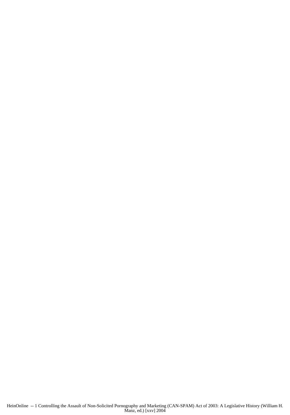HeinOnline -- 1 Controlling the Assault of Non-Solicited Pornography and Marketing (CAN-SPAM) Act of 2003: A Legislative History (William H. Manz, ed.) [xxv] 2004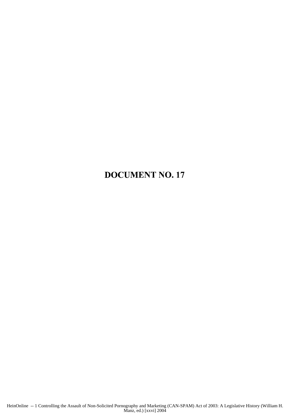## DOCUMENT NO. 17